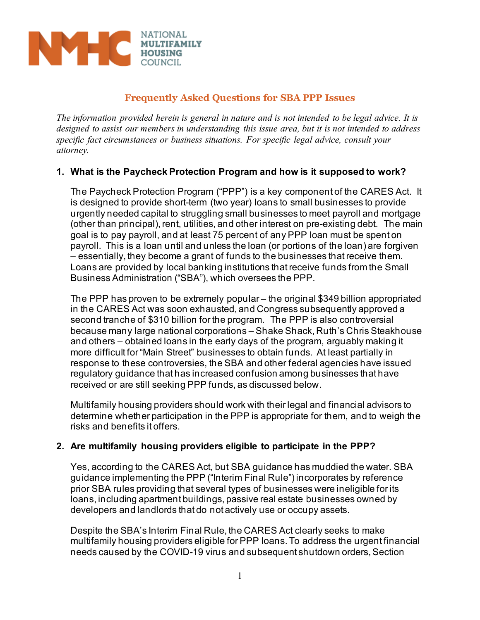

# **Frequently Asked Questions for SBA PPP Issues**

*The information provided herein is general in nature and is not intended to be legal advice. It is designed to assist our members in understanding this issue area, but it is not intended to address specific fact circumstances or business situations. For specific legal advice, consult your attorney.*

## **1. What is the Paycheck Protection Program and how is it supposed to work?**

The Paycheck Protection Program ("PPP") is a key component of the CARES Act. It is designed to provide short-term (two year) loans to small businesses to provide urgently needed capital to struggling small businesses to meet payroll and mortgage (other than principal), rent, utilities, and other interest on pre-existing debt. The main goal is to pay payroll, and at least 75 percent of any PPP loan must be spent on payroll. This is a loan until and unless the loan (or portions of the loan) are forgiven – essentially, they become a grant of funds to the businesses that receive them. Loans are provided by local banking institutions that receive funds from the Small Business Administration ("SBA"), which oversees the PPP.

The PPP has proven to be extremely popular – the original \$349 billion appropriated in the CARES Act was soon exhausted, and Congress subsequently approved a second tranche of \$310 billion for the program. The PPP is also controversial because many large national corporations – Shake Shack, Ruth's Chris Steakhouse and others – obtained loans in the early days of the program, arguably making it more difficult for "Main Street" businesses to obtain funds. At least partially in response to these controversies, the SBA and other federal agencies have issued regulatory guidance that has increased confusion among businesses that have received or are still seeking PPP funds, as discussed below.

Multifamily housing providers should work with their legal and financial advisors to determine whether participation in the PPP is appropriate for them, and to weigh the risks and benefits it offers.

## **2. Are multifamily housing providers eligible to participate in the PPP?**

Yes, according to the CARES Act, but SBA guidance has muddied the water. SBA guidance implementing the PPP ("Interim Final Rule") incorporates by reference prior SBA rules providing that several types of businesses were ineligible for its loans, including apartment buildings, passive real estate businesses owned by developers and landlords that do not actively use or occupy assets.

Despite the SBA's Interim Final Rule, the CARES Act clearly seeks to make multifamily housing providers eligible for PPP loans. To address the urgent financial needs caused by the COVID-19 virus and subsequent shutdown orders, Section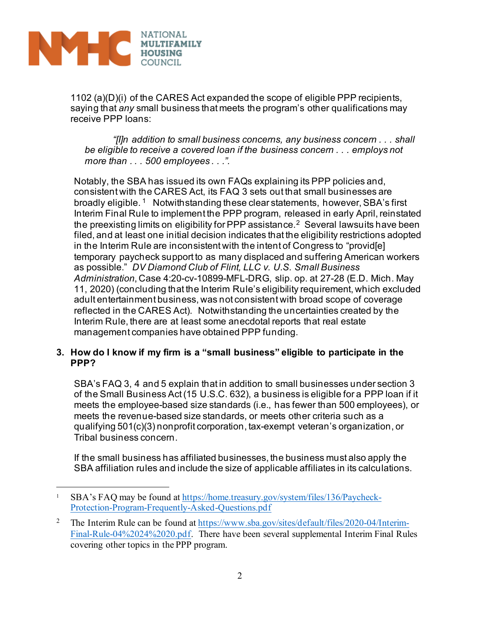

1102 (a)(D)(i) of the CARES Act expanded the scope of eligible PPP recipients, saying that *any* small business that meets the program's other qualifications may receive PPP loans:

*"[I]n addition to small business concerns, any business concern . . . shall be eligible to receive a covered loan if the business concern . . . employs not more than . . . 500 employees . . .".* 

Notably, the SBA has issued its own FAQs explaining its PPP policies and, consistent with the CARES Act, its FAQ 3 sets out that small businesses are broadly eligible. <sup>[1](#page-1-0)</sup> Notwithstanding these clear statements, however, SBA's first Interim Final Rule to implement the PPP program, released in early April, reinstated the preexisting limits on eligibility for PPP assistance.<sup>2</sup> Several lawsuits have been filed, and at least one initial decision indicates that the eligibility restrictions adopted in the Interim Rule are inconsistent with the intent of Congress to "provid[e] temporary paycheck support to as many displaced and suffering American workers as possible." *DV Diamond Club of Flint, LLC v. U.S. Small Business Administration*, Case 4:20-cv-10899-MFL-DRG, slip. op. at 27-28 (E.D. Mich. May 11, 2020) (concluding that the Interim Rule's eligibility requirement, which excluded adult entertainment business, was not consistent with broad scope of coverage reflected in the CARES Act). Notwithstanding the uncertainties created by the Interim Rule, there are at least some anecdotal reports that real estate management companies have obtained PPP funding.

## **3. How do I know if my firm is a "small business" eligible to participate in the PPP?**

SBA's FAQ 3, 4 and 5 explain that in addition to small businesses under section 3 of the Small Business Act (15 U.S.C. 632), a business is eligible for a PPP loan if it meets the employee-based size standards (i.e., has fewer than 500 employees), or meets the revenue-based size standards, or meets other criteria such as a qualifying 501(c)(3) nonprofit corporation, tax-exempt veteran's organization, or Tribal business concern.

If the small business has affiliated businesses, the business must also apply the SBA affiliation rules and include the size of applicable affiliates in its calculations.

<span id="page-1-0"></span><sup>1</sup> SBA's FAQ may be found at [https://home.treasury.gov/system/files/136/Paycheck-](https://home.treasury.gov/system/files/136/Paycheck-Protection-Program-Frequently-Asked-Questions.pdf)[Protection-Program-Frequently-Asked-Questions.pdf](https://home.treasury.gov/system/files/136/Paycheck-Protection-Program-Frequently-Asked-Questions.pdf)

<span id="page-1-1"></span><sup>&</sup>lt;sup>2</sup> The Interim Rule can be found a[t https://www.sba.gov/sites/default/files/2020-04/Interim-](https://www.sba.gov/sites/default/files/2020-04/Interim-Final-Rule-04%2024%2020.pdf)[Final-Rule-04%2024%2020.pdf.](https://www.sba.gov/sites/default/files/2020-04/Interim-Final-Rule-04%2024%2020.pdf) There have been several supplemental Interim Final Rules covering other topics in the PPP program.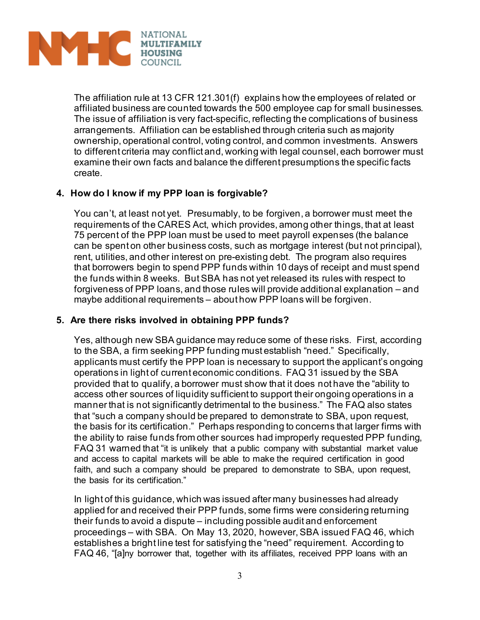

The affiliation rule at 13 CFR 121.301(f) explains how the employees of related or affiliated business are counted towards the 500 employee cap for small businesses. The issue of affiliation is very fact-specific, reflecting the complications of business arrangements. Affiliation can be established through criteria such as majority ownership, operational control, voting control, and common investments. Answers to different criteria may conflict and, working with legal counsel, each borrower must examine their own facts and balance the different presumptions the specific facts create.

## **4. How do I know if my PPP loan is forgivable?**

You can't, at least not yet. Presumably, to be forgiven, a borrower must meet the requirements of the CARES Act, which provides, among other things, that at least 75 percent of the PPP loan must be used to meet payroll expenses (the balance can be spent on other business costs, such as mortgage interest (but not principal), rent, utilities, and other interest on pre-existing debt. The program also requires that borrowers begin to spend PPP funds within 10 days of receipt and must spend the funds within 8 weeks. But SBA has not yet released its rules with respect to forgiveness of PPP loans, and those rules will provide additional explanation – and maybe additional requirements – about how PPP loans will be forgiven.

## **5. Are there risks involved in obtaining PPP funds?**

Yes, although new SBA guidance may reduce some of these risks. First, according to the SBA, a firm seeking PPP funding must establish "need." Specifically, applicants must certify the PPP loan is necessary to support the applicant's ongoing operations in light of current economic conditions. FAQ 31 issued by the SBA provided that to qualify, a borrower must show that it does not have the "ability to access other sources of liquidity sufficient to support their ongoing operations in a manner that is not significantly detrimental to the business." The FAQ also states that "such a company should be prepared to demonstrate to SBA, upon request, the basis for its certification." Perhaps responding to concerns that larger firms with the ability to raise funds from other sources had improperly requested PPP funding, FAQ 31 warned that "it is unlikely that a public company with substantial market value and access to capital markets will be able to make the required certification in good faith, and such a company should be prepared to demonstrate to SBA, upon request, the basis for its certification."

In light of this guidance, which was issued after many businesses had already applied for and received their PPP funds, some firms were considering returning their funds to avoid a dispute – including possible audit and enforcement proceedings – with SBA. On May 13, 2020, however, SBA issued FAQ 46, which establishes a bright line test for satisfying the "need" requirement. According to FAQ 46, "[a]ny borrower that, together with its affiliates, received PPP loans with an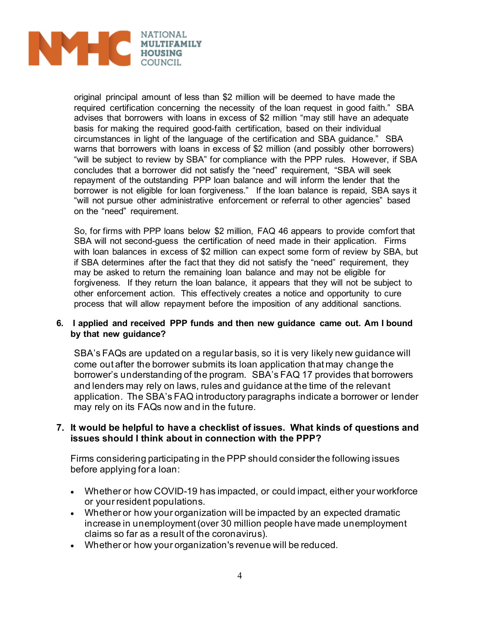

original principal amount of less than \$2 million will be deemed to have made the required certification concerning the necessity of the loan request in good faith." SBA advises that borrowers with loans in excess of \$2 million "may still have an adequate basis for making the required good-faith certification, based on their individual circumstances in light of the language of the certification and SBA guidance." SBA warns that borrowers with loans in excess of \$2 million (and possibly other borrowers) "will be subject to review by SBA" for compliance with the PPP rules. However, if SBA concludes that a borrower did not satisfy the "need" requirement, "SBA will seek repayment of the outstanding PPP loan balance and will inform the lender that the borrower is not eligible for loan forgiveness." If the loan balance is repaid, SBA says it "will not pursue other administrative enforcement or referral to other agencies" based on the "need" requirement.

So, for firms with PPP loans below \$2 million, FAQ 46 appears to provide comfort that SBA will not second-guess the certification of need made in their application. Firms with loan balances in excess of \$2 million can expect some form of review by SBA, but if SBA determines after the fact that they did not satisfy the "need" requirement, they may be asked to return the remaining loan balance and may not be eligible for forgiveness. If they return the loan balance, it appears that they will not be subject to other enforcement action. This effectively creates a notice and opportunity to cure process that will allow repayment before the imposition of any additional sanctions.

#### **6. I applied and received PPP funds and then new guidance came out. Am I bound by that new guidance?**

SBA's FAQs are updated on a regular basis, so it is very likely new guidance will come out after the borrower submits its loan application that may change the borrower's understanding of the program. SBA's FAQ 17 provides that borrowers and lenders may rely on laws, rules and guidance at the time of the relevant application. The SBA's FAQ introductory paragraphs indicate a borrower or lender may rely on its FAQs now and in the future.

## **7. It would be helpful to have a checklist of issues. What kinds of questions and issues should I think about in connection with the PPP?**

Firms considering participating in the PPP should consider the following issues before applying for a loan:

- Whether or how COVID-19 has impacted, or could impact, either your workforce or your resident populations.
- Whether or how your organization will be impacted by an expected dramatic increase in unemployment (over 30 million people have made unemployment claims so far as a result of the coronavirus).
- Whether or how your organization's revenue will be reduced.